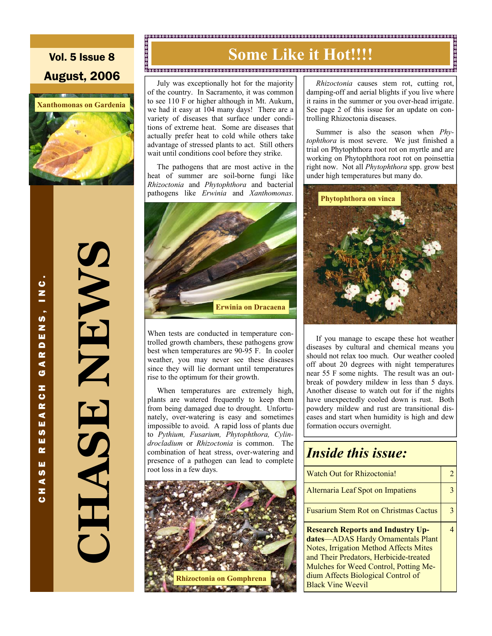Vol. 5 Issue 8 August, 2006



**CHASE NEWS CARTAIN**  $\frac{1}{\sqrt{2}}$ 

CHASE RESEARCH GARDENS, INC.

œ ш **S** ⋖ z  $\ddot{\mathbf{c}}$ 

ပ<br>I N<br>I

.<br>თ z w  $\overline{\mathbf{p}}$  $\alpha$ ⋖ G z ပ  $\alpha$ ∢ ш **U)** ш

# **Some Like it Hot!!!!**

o<br>2000 - 1000 - 1000 - 1000 - 1000 - 1000 - 1000 - 1000 - 1000 - 1000 - 1000 - 1000 - 1000 - 1000 - 1000 - 1000<br>2000 - 1000 - 1000 - 1000 - 1000 - 1000 - 1000 - 1000 - 1000 - 1000 - 1000 - 1000 - 1000 - 1000 - 1000 - 1000

 July was exceptionally hot for the majority of the country. In Sacramento, it was common to see 110 F or higher although in Mt. Aukum, we had it easy at 104 many days! There are a variety of diseases that surface under conditions of extreme heat. Some are diseases that actually prefer heat to cold while others take advantage of stressed plants to act. Still others wait until conditions cool before they strike.

 The pathogens that are most active in the heat of summer are soil-borne fungi like *Rhizoctonia* and *Phytophthora* and bacterial pathogens like *Erwinia* and *Xanthomonas*.



When tests are conducted in temperature controlled growth chambers, these pathogens grow best when temperatures are 90-95 F. In cooler weather, you may never see these diseases since they will lie dormant until temperatures rise to the optimum for their growth.

 When temperatures are extremely high, plants are watered frequently to keep them from being damaged due to drought. Unfortunately, over-watering is easy and sometimes impossible to avoid. A rapid loss of plants due to *Pythium, Fusarium, Phytophthora, Cylindrocladium* or *Rhizoctonia* is common. The combination of heat stress, over-watering and presence of a pathogen can lead to complete root loss in a few days.



 *Rhizoctonia* causes stem rot, cutting rot, damping-off and aerial blights if you live where it rains in the summer or you over-head irrigate. See page 2 of this issue for an update on controlling Rhizoctonia diseases.

 Summer is also the season when *Phytophthora* is most severe. We just finished a trial on Phytophthora root rot on myrtle and are working on Phytophthora root rot on poinsettia right now. Not all *Phytophthora* spp. grow best under high temperatures but many do.



 If you manage to escape these hot weather diseases by cultural and chemical means you should not relax too much. Our weather cooled off about 20 degrees with night temperatures near 55 F some nights. The result was an outbreak of powdery mildew in less than 5 days. Another disease to watch out for if the nights have unexpectedly cooled down is rust. Both powdery mildew and rust are transitional diseases and start when humidity is high and dew formation occurs overnight.

### *Inside this issue:*

| Watch Out for Rhizoctonia!                                                                                                                                                                                                                                                    |  |
|-------------------------------------------------------------------------------------------------------------------------------------------------------------------------------------------------------------------------------------------------------------------------------|--|
| Alternaria Leaf Spot on Impatiens                                                                                                                                                                                                                                             |  |
| <b>Fusarium Stem Rot on Christmas Cactus</b>                                                                                                                                                                                                                                  |  |
| <b>Research Reports and Industry Up-</b><br>dates-ADAS Hardy Ornamentals Plant<br>Notes, Irrigation Method Affects Mites<br>and Their Predators, Herbicide-treated<br>Mulches for Weed Control, Potting Me-<br>dium Affects Biological Control of<br><b>Black Vine Weevil</b> |  |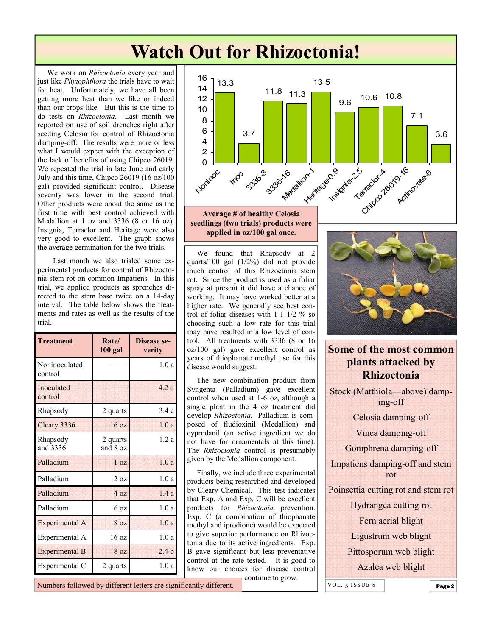# **Watch Out for Rhizoctonia!**

 We work on *Rhizoctonia* every year and just like *Phytophthora* the trials have to wait for heat. Unfortunately, we have all been getting more heat than we like or indeed than our crops like. But this is the time to do tests on *Rhizoctonia*. Last month we reported on use of soil drenches right after seeding Celosia for control of Rhizoctonia damping-off. The results were more or less what I would expect with the exception of the lack of benefits of using Chipco 26019. We repeated the trial in late June and early July and this time, Chipco 26019 (16 oz/100 gal) provided significant control. Disease severity was lower in the second trial. Other products were about the same as the first time with best control achieved with Medallion at 1 oz and 3336 (8 or 16 oz). Insignia, Terraclor and Heritage were also very good to excellent. The graph shows the average germination for the two trials.

 Last month we also trialed some experimental products for control of Rhizoctonia stem rot on common Impatiens. In this trial, we applied products as sprenches directed to the stem base twice on a 14-day interval. The table below shows the treatments and rates as well as the results of the trial.

| <b>Treatment</b>         | Rate/<br>$100$ gal   | Disease se-<br>verity |
|--------------------------|----------------------|-----------------------|
| Noninoculated<br>control |                      | 1.0a                  |
| Inoculated<br>control    |                      | 42d                   |
| Rhapsody                 | 2 quarts             | 3.4c                  |
| Cleary 3336              | 16 oz                | 1.0a                  |
| Rhapsody<br>and 3336     | 2 quarts<br>and 8 oz | 1.2a                  |
| Palladium                | 1 <sub>oz</sub>      | 1.0a                  |
| Palladium                | 2 oz                 | 1.0 a                 |
| Palladium                | 4 <sub>oz</sub>      | 14a                   |
| Palladium                | 6 <sub>oz</sub>      | 1.0a                  |
| Experimental A           | 8 oz                 | 1.0a                  |
| Experimental A           | 16 <sub>oz</sub>     | 1.0 a                 |
| <b>Experimental B</b>    | 8 oz                 | 2.4 <sub>b</sub>      |
| Experimental C           | 2 quarts             | 1.0a                  |



**seedlings (two trials) products were applied in oz/100 gal once.** 

 We found that Rhapsody at 2 quarts/100 gal (1/2%) did not provide much control of this Rhizoctonia stem rot. Since the product is used as a foliar spray at present it did have a chance of working. It may have worked better at a higher rate. We generally see best control of foliar diseases with 1-1 1/2 % so choosing such a low rate for this trial may have resulted in a low level of control. All treatments with 3336 (8 or 16 oz/100 gal) gave excellent control as years of thiophanate methyl use for this disease would suggest.

 The new combination product from Syngenta (Palladium) gave excellent control when used at 1-6 oz, although a single plant in the 4 oz treatment did develop *Rhizoctonia*. Palladium is composed of fludioxinil (Medallion) and cyprodanil (an active ingredient we do not have for ornamentals at this time). The *Rhizoctonia* control is presumably given by the Medallion component.

 Finally, we include three experimental products being researched and developed by Cleary Chemical. This test indicates that Exp. A and Exp. C will be excellent products for *Rhizoctonia* prevention. Exp. C (a combination of thiophanate methyl and iprodione) would be expected to give superior performance on Rhizoctonia due to its active ingredients. Exp. B gave significant but less preventative control at the rate tested. It is good to know our choices for disease control

continue to grow.



**Some of the most common plants attacked by Rhizoctonia** 

Stock (Matthiola—above) damping-off Celosia damping-off Vinca damping-off Gomphrena damping-off Impatiens damping-off and stem rot Poinsettia cutting rot and stem rot

Hydrangea cutting rot

Fern aerial blight

Ligustrum web blight

Pittosporum web blight

Azalea web blight

VOL.  $5$  ISSUE 8 **Page 2** 

Numbers followed by different letters are significantly different.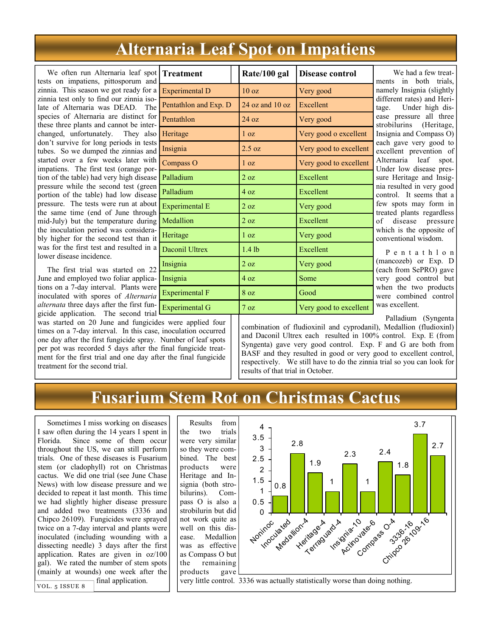## **Alternaria Leaf Spot on Impatiens**

 We often run Alternaria leaf spot tests on impatiens, pittosporum and zinnia. This season we got ready for a zinnia test only to find our zinnia isolate of Alternaria was DEAD. The species of Alternaria are distinct for these three plants and cannot be interchanged, unfortunately. They also don't survive for long periods in tests tubes. So we dumped the zinnias and started over a few weeks later with impatiens. The first test (orange portion of the table) had very high disease pressure while the second test (green portion of the table) had low disease pressure. The tests were run at about the same time (end of June through mid-July) but the temperature during the inoculation period was considerably higher for the second test than it was for the first test and resulted in a lower disease incidence.

 The first trial was started on 22 June and employed two foliar applications on a 7-day interval. Plants were inoculated with spores of *Alternaria alternata* three days after the first fungicide application. The second trial was started on 20 June and fungicides were applied four times on a 7-day interval. In this case, inoculation occurred one day after the first fungicide spray. Number of leaf spots per pot was recorded 5 days after the final fungicide treatment for the first trial and one day after the final fungicide

treatment for the second trial.

| <b>Treatment</b>      | Rate/100 gal        | Disease control        |
|-----------------------|---------------------|------------------------|
| <b>Experimental D</b> | 10 <sub>oz</sub>    | Very good              |
| Pentathlon and Exp. D | $24$ oz and $10$ oz | Excellent              |
| Pentathlon            | $24 \text{ oz}$     | Very good              |
| Heritage              | 1 <sub>oz</sub>     | Very good o excellent  |
| Insignia              | 2.5 oz              | Very good to excellent |
| Compass O             | 1 <sub>oz</sub>     | Very good to excellent |
| Palladium             | 2 oz                | Excellent              |
| Palladium             | 4 oz                | Excellent              |
| <b>Experimental E</b> | 2 <sub>oz</sub>     | Very good              |
| Medallion             | $2 \text{ oz}$      | Excellent              |
| Heritage              | 1 <sub>oz</sub>     | Very good              |
| <b>Daconil Ultrex</b> | $1.4$ lb            | Excellent              |
| Insignia              | 2 oz                | Very good              |
| Insignia              | 4 oz                | Some                   |
| <b>Experimental F</b> | 80z                 | Good                   |
| <b>Experimental G</b> | $7 \text{ oz}$      | Very good to excellent |
| 1.1 <sub>1</sub>      |                     |                        |

 We had a few treatents in both trials. mely Insignia (slightly fferent rates) and Herige. Under high disse pressure all three robilurins (Heritage, signia and Compass O) ch gave very good to cellent prevention of Alternaria leaf spot. nder low disease pressure Heritage and Insiga resulted in very good ntrol. It seems that a w spots may form in eated plants regardless disease pressure hich is the opposite of nventional wisdom.

 P e n t a t h l o n hancozeb) or Exp. D ach from SePRO) gave ry good control but hen the two products ere combined control as excellent.

Palladium (Syngenta

combination of fludioxinil and cyprodanil), Medallion (fludioxinl) and Daconil Ultrex each resulted in 100% control. Exp. E (from Syngenta) gave very good control. Exp. F and G are both from BASF and they resulted in good or very good to excellent control, respectively. We still have to do the zinnia trial so you can look for results of that trial in October.

## **Fusarium Stem Rot on Christmas Cactus**

 Sometimes I miss working on diseases I saw often during the 14 years I spent in Florida. Since some of them occur throughout the US, we can still perform trials. One of these diseases is Fusarium stem (or cladophyll) rot on Christmas cactus. We did one trial (see June Chase News) with low disease pressure and we decided to repeat it last month. This time we had slightly higher disease pressure and added two treatments (3336 and Chipco 26109). Fungicides were sprayed twice on a 7-day interval and plants were inoculated (including wounding with a dissecting needle) 3 days after the first application. Rates are given in oz/100 gal). We rated the number of stem spots (mainly at wounds) one week after the  $\overline{\text{Vol. } 5 \text{ ISSUE } 8}$  final application.

 Results from the two trials were very similar so they were combined. The best products were Heritage and Insignia (both strobilurins). Compass O is also a strobilurin but did not work quite as well on this disease. Medallion was as effective as Compass O but the remaining products gave